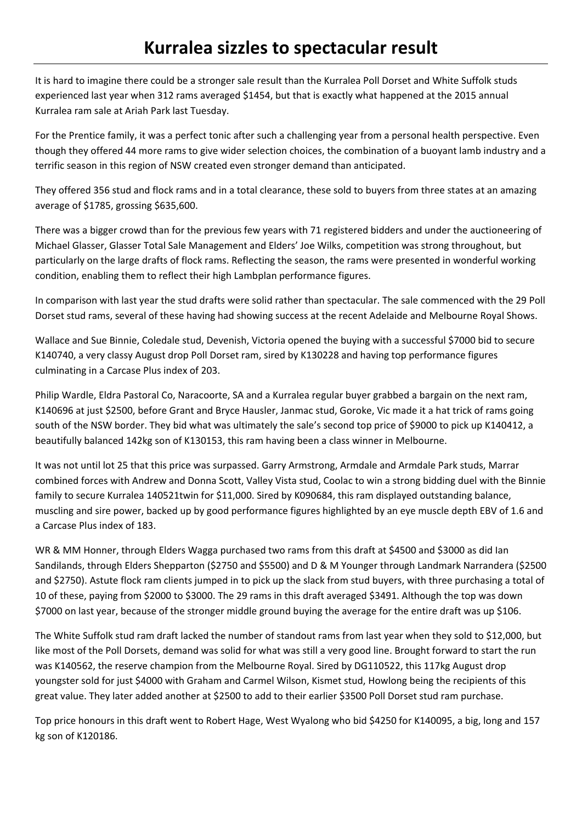## **Kurralea sizzles to spectacular result**

It is hard to imagine there could be a stronger sale result than the Kurralea Poll Dorset and White Suffolk studs experienced last year when 312 rams averaged \$1454, but that is exactly what happened at the 2015 annual Kurralea ram sale at Ariah Park last Tuesday.

For the Prentice family, it was a perfect tonic after such a challenging year from a personal health perspective. Even though they offered 44 more rams to give wider selection choices, the combination of a buoyant lamb industry and a terrific season in this region of NSW created even stronger demand than anticipated.

They offered 356 stud and flock rams and in a total clearance, these sold to buyers from three states at an amazing average of \$1785, grossing \$635,600.

There was a bigger crowd than for the previous few years with 71 registered bidders and under the auctioneering of Michael Glasser, Glasser Total Sale Management and Elders' Joe Wilks, competition was strong throughout, but particularly on the large drafts of flock rams. Reflecting the season, the rams were presented in wonderful working condition, enabling them to reflect their high Lambplan performance figures.

In comparison with last year the stud drafts were solid rather than spectacular. The sale commenced with the 29 Poll Dorset stud rams, several of these having had showing success at the recent Adelaide and Melbourne Royal Shows.

Wallace and Sue Binnie, Coledale stud, Devenish, Victoria opened the buying with a successful \$7000 bid to secure K140740, a very classy August drop Poll Dorset ram, sired by K130228 and having top performance figures culminating in a Carcase Plus index of 203.

Philip Wardle, Eldra Pastoral Co, Naracoorte, SA and a Kurralea regular buyer grabbed a bargain on the next ram, K140696 at just \$2500, before Grant and Bryce Hausler, Janmac stud, Goroke, Vic made it a hat trick of rams going south of the NSW border. They bid what was ultimately the sale's second top price of \$9000 to pick up K140412, a beautifully balanced 142kg son of K130153, this ram having been a class winner in Melbourne.

It was not until lot 25 that this price was surpassed. Garry Armstrong, Armdale and Armdale Park studs, Marrar combined forces with Andrew and Donna Scott, Valley Vista stud, Coolac to win a strong bidding duel with the Binnie family to secure Kurralea 140521twin for \$11,000. Sired by K090684, this ram displayed outstanding balance, muscling and sire power, backed up by good performance figures highlighted by an eye muscle depth EBV of 1.6 and a Carcase Plus index of 183.

WR & MM Honner, through Elders Wagga purchased two rams from this draft at \$4500 and \$3000 as did Ian Sandilands, through Elders Shepparton (\$2750 and \$5500) and D & M Younger through Landmark Narrandera (\$2500 and \$2750). Astute flock ram clients jumped in to pick up the slack from stud buyers, with three purchasing a total of 10 of these, paying from \$2000 to \$3000. The 29 rams in this draft averaged \$3491. Although the top was down \$7000 on last year, because of the stronger middle ground buying the average for the entire draft was up \$106.

The White Suffolk stud ram draft lacked the number of standout rams from last year when they sold to \$12,000, but like most of the Poll Dorsets, demand was solid for what was still a very good line. Brought forward to start the run was K140562, the reserve champion from the Melbourne Royal. Sired by DG110522, this 117kg August drop youngster sold for just \$4000 with Graham and Carmel Wilson, Kismet stud, Howlong being the recipients of this great value. They later added another at \$2500 to add to their earlier \$3500 Poll Dorset stud ram purchase.

Top price honours in this draft went to Robert Hage, West Wyalong who bid \$4250 for K140095, a big, long and 157 kg son of K120186.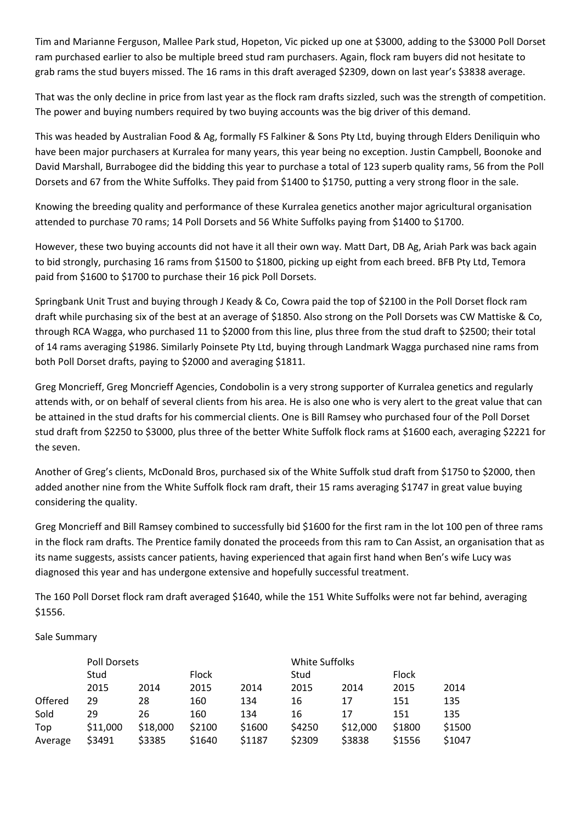Tim and Marianne Ferguson, Mallee Park stud, Hopeton, Vic picked up one at \$3000, adding to the \$3000 Poll Dorset ram purchased earlier to also be multiple breed stud ram purchasers. Again, flock ram buyers did not hesitate to grab rams the stud buyers missed. The 16 rams in this draft averaged \$2309, down on last year's \$3838 average.

That was the only decline in price from last year as the flock ram drafts sizzled, such was the strength of competition. The power and buying numbers required by two buying accounts was the big driver of this demand.

This was headed by Australian Food & Ag, formally FS Falkiner & Sons Pty Ltd, buying through Elders Deniliquin who have been major purchasers at Kurralea for many years, this year being no exception. Justin Campbell, Boonoke and David Marshall, Burrabogee did the bidding this year to purchase a total of 123 superb quality rams, 56 from the Poll Dorsets and 67 from the White Suffolks. They paid from \$1400 to \$1750, putting a very strong floor in the sale.

Knowing the breeding quality and performance of these Kurralea genetics another major agricultural organisation attended to purchase 70 rams; 14 Poll Dorsets and 56 White Suffolks paying from \$1400 to \$1700.

However, these two buying accounts did not have it all their own way. Matt Dart, DB Ag, Ariah Park was back again to bid strongly, purchasing 16 rams from \$1500 to \$1800, picking up eight from each breed. BFB Pty Ltd, Temora paid from \$1600 to \$1700 to purchase their 16 pick Poll Dorsets.

Springbank Unit Trust and buying through J Keady & Co, Cowra paid the top of \$2100 in the Poll Dorset flock ram draft while purchasing six of the best at an average of \$1850. Also strong on the Poll Dorsets was CW Mattiske & Co, through RCA Wagga, who purchased 11 to \$2000 from this line, plus three from the stud draft to \$2500; their total of 14 rams averaging \$1986. Similarly Poinsete Pty Ltd, buying through Landmark Wagga purchased nine rams from both Poll Dorset drafts, paying to \$2000 and averaging \$1811.

Greg Moncrieff, Greg Moncrieff Agencies, Condobolin is a very strong supporter of Kurralea genetics and regularly attends with, or on behalf of several clients from his area. He is also one who is very alert to the great value that can be attained in the stud drafts for his commercial clients. One is Bill Ramsey who purchased four of the Poll Dorset stud draft from \$2250 to \$3000, plus three of the better White Suffolk flock rams at \$1600 each, averaging \$2221 for the seven.

Another of Greg's clients, McDonald Bros, purchased six of the White Suffolk stud draft from \$1750 to \$2000, then added another nine from the White Suffolk flock ram draft, their 15 rams averaging \$1747 in great value buying considering the quality.

Greg Moncrieff and Bill Ramsey combined to successfully bid \$1600 for the first ram in the lot 100 pen of three rams in the flock ram drafts. The Prentice family donated the proceeds from this ram to Can Assist, an organisation that as its name suggests, assists cancer patients, having experienced that again first hand when Ben's wife Lucy was diagnosed this year and has undergone extensive and hopefully successful treatment.

The 160 Poll Dorset flock ram draft averaged \$1640, while the 151 White Suffolks were not far behind, averaging \$1556.

## Sale Summary

|         | Poll Dorsets |          |              |        | White Suffolks |          |              |        |
|---------|--------------|----------|--------------|--------|----------------|----------|--------------|--------|
|         | Stud         |          | <b>Flock</b> |        | Stud           |          | <b>Flock</b> |        |
|         | 2015         | 2014     | 2015         | 2014   | 2015           | 2014     | 2015         | 2014   |
| Offered | 29           | 28       | 160          | 134    | 16             | 17       | 151          | 135    |
| Sold    | 29           | 26       | 160          | 134    | 16             | 17       | 151          | 135    |
| Top     | \$11,000     | \$18,000 | \$2100       | \$1600 | \$4250         | \$12,000 | \$1800       | \$1500 |
| Average | \$3491       | \$3385   | \$1640       | \$1187 | \$2309         | \$3838   | \$1556       | \$1047 |